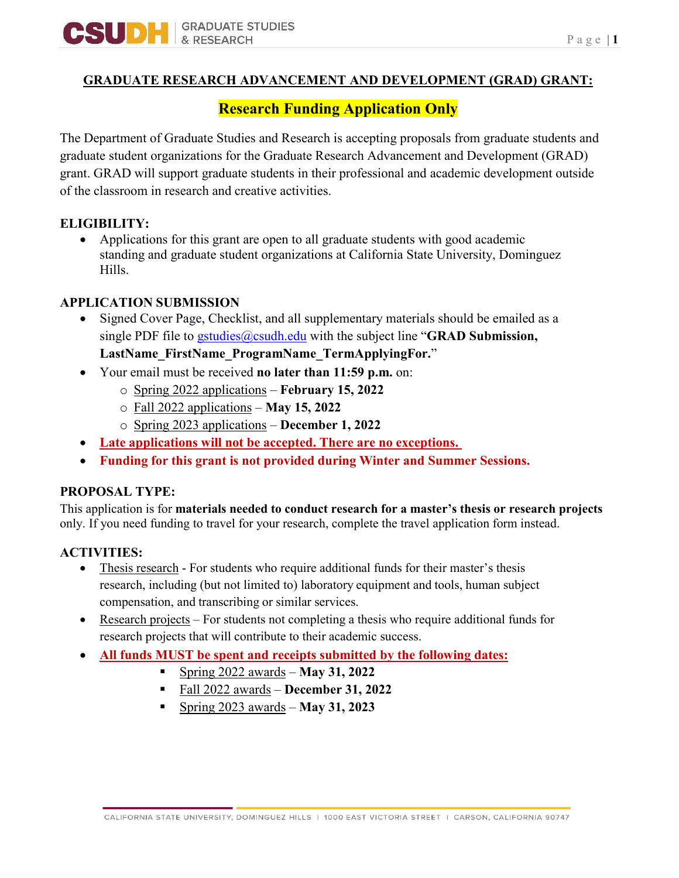

#### **GRADUATE RESEARCH ADVANCEMENT AND DEVELOPMENT (GRAD) GRANT:**

# **Research Funding Application Only**

The Department of Graduate Studies and Research is accepting proposals from graduate students and graduate student organizations for the Graduate Research Advancement and Development (GRAD) grant. GRAD will support graduate students in their professional and academic development outside of the classroom in research and creative activities.

#### **ELIGIBILITY:**

• Applications for this grant are open to all graduate students with good academic standing and graduate student organizations at California State University, Dominguez Hills.

#### **APPLICATION SUBMISSION**

• Signed Cover Page, Checklist, and all supplementary materials should be emailed as a single PDF file to [gstudies@csudh.edu](mailto:gstudies@csudh.edu) with the subject line "**GRAD Submission,** 

**LastName\_FirstName\_ProgramName\_TermApplyingFor.**"

- Your email must be received **no later than 11:59 p.m.** on:
	- o Spring 2022 applications **February 15, 2022**
	- o Fall 2022 applications **May 15, 2022**
	- o Spring 2023 applications **December 1, 2022**
- **Late applications will not be accepted. There are no exceptions.**
- **Funding for this grant is not provided during Winter and Summer Sessions.**

#### **PROPOSAL TYPE:**

This application is for **materials needed to conduct research for a master's thesis or research projects**  only. If you need funding to travel for your research, complete the travel application form instead.

#### **ACTIVITIES:**

- Thesis research For students who require additional funds for their master's thesis research, including (but not limited to) laboratory equipment and tools, human subject compensation, and transcribing or similar services.
- Research projects For students not completing a thesis who require additional funds for research projects that will contribute to their academic success.
- **All funds MUST be spent and receipts submitted by the following dates:**
	- Spring 2022 awards **May 31, 2022**
	- Fall 2022 awards **December 31, 2022**
	- Spring 2023 awards **May 31, 2023**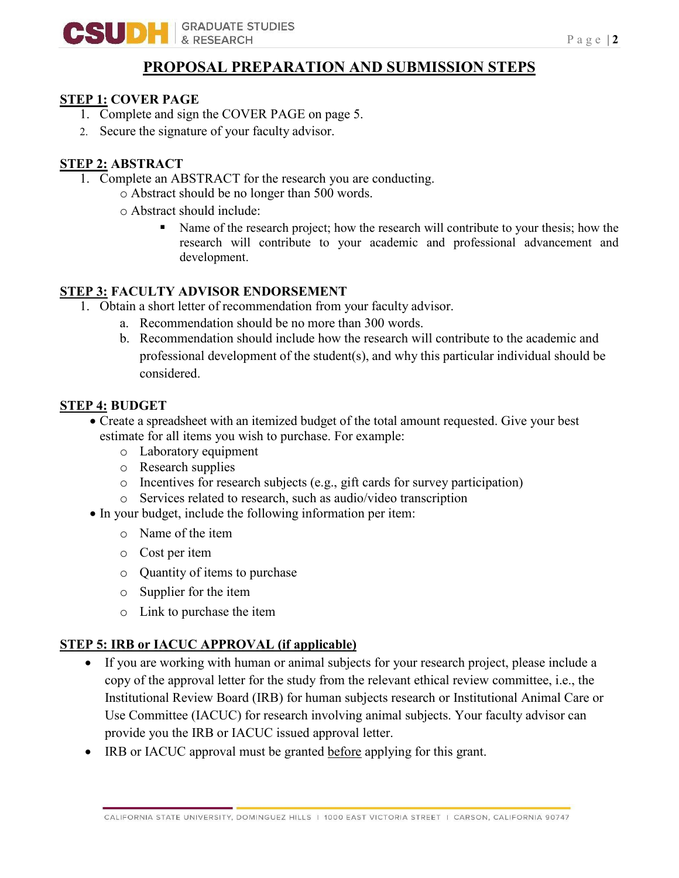

## **PROPOSAL PREPARATION AND SUBMISSION STEPS**

#### **STEP 1: COVER PAGE**

- 1. Complete and sign the COVER PAGE on page 5.
- 2. Secure the signature of your faculty advisor.

### **STEP 2: ABSTRACT**

- 1. Complete an ABSTRACT for the research you are conducting.
	- o Abstract should be no longer than 500 words.
	- o Abstract should include:
		- Name of the research project; how the research will contribute to your thesis; how the research will contribute to your academic and professional advancement and development.

#### **STEP 3: FACULTY ADVISOR ENDORSEMENT**

- 1. Obtain a short letter of recommendation from your faculty advisor.
	- a. Recommendation should be no more than 300 words.
	- b. Recommendation should include how the research will contribute to the academic and professional development of the student(s), and why this particular individual should be considered.

### **STEP 4: BUDGET**

- Create a spreadsheet with an itemized budget of the total amount requested. Give your best estimate for all items you wish to purchase. For example:
	- o Laboratory equipment
	- o Research supplies
	- o Incentives for research subjects (e.g., gift cards for survey participation)
	- o Services related to research, such as audio/video transcription
- In your budget, include the following information per item:
	- o Name of the item
	- o Cost per item
	- o Quantity of items to purchase
	- o Supplier for the item
	- o Link to purchase the item

### **STEP 5: IRB or IACUC APPROVAL (if applicable)**

- If you are working with human or animal subjects for your research project, please include a copy of the approval letter for the study from the relevant ethical review committee, i.e., the Institutional Review Board (IRB) for human subjects research or Institutional Animal Care or Use Committee (IACUC) for research involving animal subjects. Your faculty advisor can provide you the IRB or IACUC issued approval letter.
- IRB or IACUC approval must be granted before applying for this grant.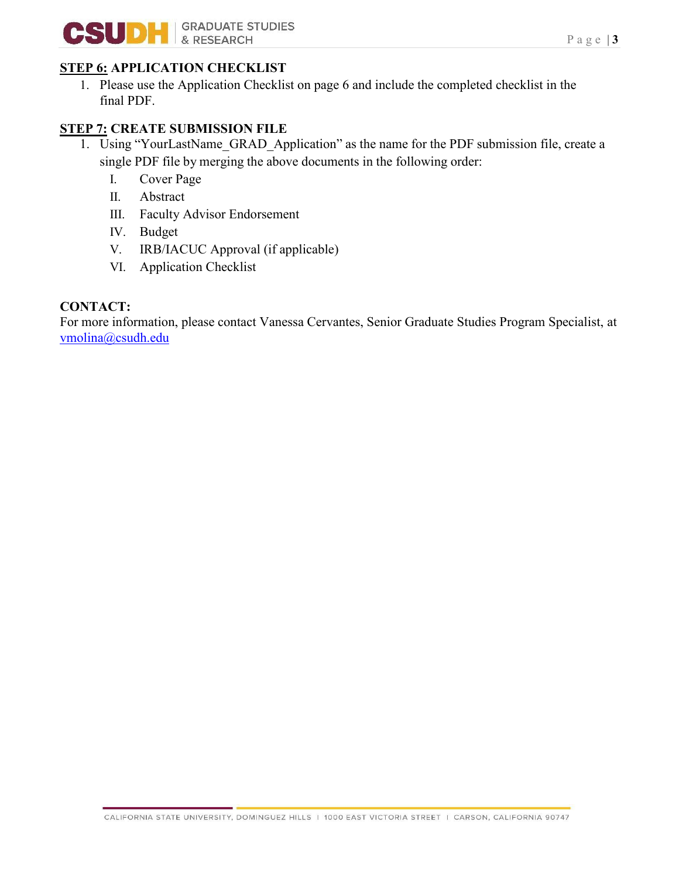

# **STEP 6: APPLICATION CHECKLIST**

1. Please use the Application Checklist on page 6 and include the completed checklist in the final PDF.

# **STEP 7: CREATE SUBMISSION FILE**

- 1. Using "YourLastName\_GRAD\_Application" as the name for the PDF submission file, create a single PDF file by merging the above documents in the following order:
	- I. Cover Page
	- II. Abstract
	- III. Faculty Advisor Endorsement
	- IV. Budget
	- V. IRB/IACUC Approval (if applicable)
	- VI. Application Checklist

## **CONTACT:**

For more information, please contact Vanessa Cervantes, Senior Graduate Studies Program Specialist, at [vmolina@csudh.edu](mailto:vmolina@csudh.edu)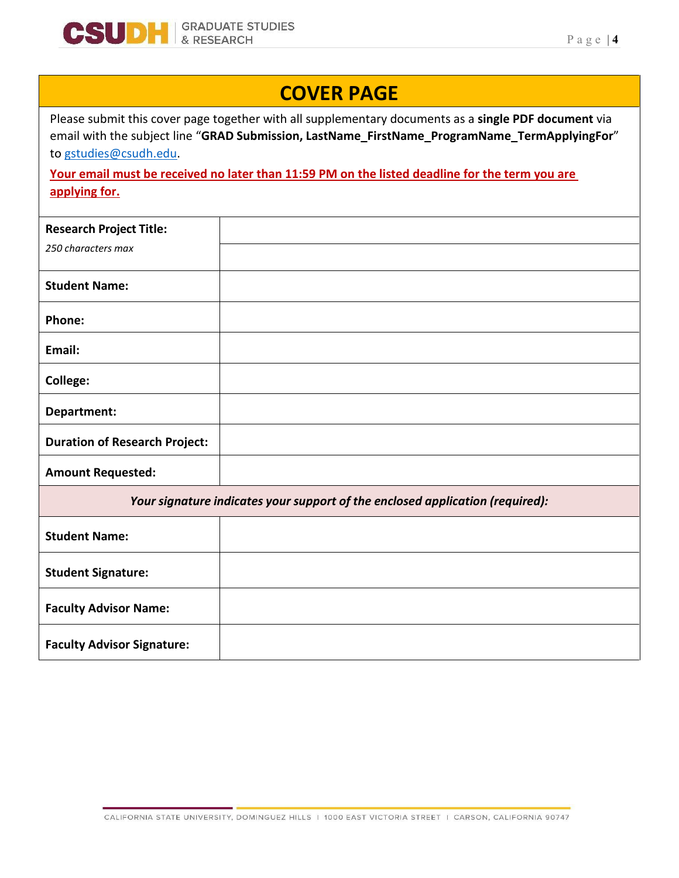

# **COVER PAGE**

Please submit this cover page together with all supplementary documents as a **single PDF document** via email with the subject line "**GRAD Submission, LastName\_FirstName\_ProgramName\_TermApplyingFor**" to [gstudies@csudh.edu.](mailto:vmolina@csudh.edu) 

**Your email must be received no later than 11:59 PM on the listed deadline for the term you are applying for.**

| <b>Research Project Title:</b>                                                |  |  |
|-------------------------------------------------------------------------------|--|--|
| 250 characters max                                                            |  |  |
| <b>Student Name:</b>                                                          |  |  |
| Phone:                                                                        |  |  |
| Email:                                                                        |  |  |
| <b>College:</b>                                                               |  |  |
| Department:                                                                   |  |  |
| <b>Duration of Research Project:</b>                                          |  |  |
| <b>Amount Requested:</b>                                                      |  |  |
| Your signature indicates your support of the enclosed application (required): |  |  |
| <b>Student Name:</b>                                                          |  |  |
| <b>Student Signature:</b>                                                     |  |  |
| <b>Faculty Advisor Name:</b>                                                  |  |  |
| <b>Faculty Advisor Signature:</b>                                             |  |  |